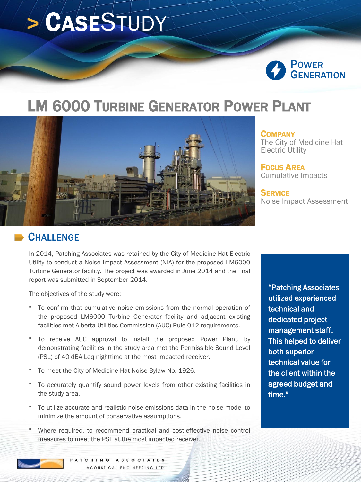# **>** CASESTUDY



## LM 6000 TURBINE GENERATOR POWER PLANT



**COMPANY** 

The City of Medicine Hat Electric Utility

FOCUS AREA Cumulative Impacts

**SERVICE** Noise Impact Assessment

#### **CHALLENGE**

In 2014, Patching Associates was retained by the City of Medicine Hat Electric Utility to conduct a Noise Impact Assessment (NIA) for the proposed LM6000 Turbine Generator facility. The project was awarded in June 2014 and the final report was submitted in September 2014.

The objectives of the study were:

- To confirm that cumulative noise emissions from the normal operation of the proposed LM6000 Turbine Generator facility and adjacent existing facilities met Alberta Utilities Commission (AUC) Rule 012 requirements.
- To receive AUC approval to install the proposed Power Plant, by demonstrating facilities in the study area met the Permissible Sound Level (PSL) of 40 dBA Leq nighttime at the most impacted receiver.
- To meet the City of Medicine Hat Noise Bylaw No. 1926.
- To accurately quantify sound power levels from other existing facilities in the study area.
- To utilize accurate and realistic noise emissions data in the noise model to minimize the amount of conservative assumptions.
- Where required, to recommend practical and cost-effective noise control measures to meet the PSL at the most impacted receiver.

"Patching Associates utilized experienced technical and dedicated project management staff. This helped to deliver both superior technical value for the client within the agreed budget and time."

PATCHING ASSOCIATES ACOUSTICAL ENGINEERING LTD